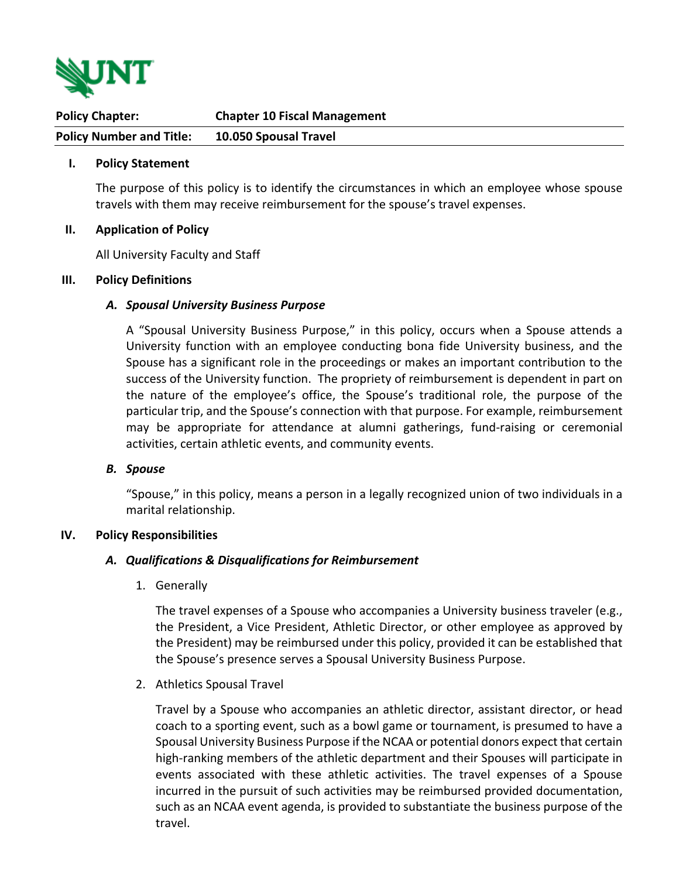

| <b>Policy Chapter:</b>          | <b>Chapter 10 Fiscal Management</b> |
|---------------------------------|-------------------------------------|
| <b>Policy Number and Title:</b> | 10.050 Spousal Travel               |

#### **I. Policy Statement**

The purpose of this policy is to identify the circumstances in which an employee whose spouse travels with them may receive reimbursement for the spouse's travel expenses.

#### **II. Application of Policy**

All University Faculty and Staff

#### **III. Policy Definitions**

#### *A. Spousal University Business Purpose*

A "Spousal University Business Purpose," in this policy, occurs when a Spouse attends a University function with an employee conducting bona fide University business, and the Spouse has a significant role in the proceedings or makes an important contribution to the success of the University function. The propriety of reimbursement is dependent in part on the nature of the employee's office, the Spouse's traditional role, the purpose of the particular trip, and the Spouse's connection with that purpose. For example, reimbursement may be appropriate for attendance at alumni gatherings, fund-raising or ceremonial activities, certain athletic events, and community events.

## *B. Spouse*

"Spouse," in this policy, means a person in a legally recognized union of two individuals in a marital relationship.

## **IV. Policy Responsibilities**

## *A. Qualifications & Disqualifications for Reimbursement*

1. Generally

The travel expenses of a Spouse who accompanies a University business traveler (e.g., the President, a Vice President, Athletic Director, or other employee as approved by the President) may be reimbursed under this policy, provided it can be established that the Spouse's presence serves a Spousal University Business Purpose.

2. Athletics Spousal Travel

Travel by a Spouse who accompanies an athletic director, assistant director, or head coach to a sporting event, such as a bowl game or tournament, is presumed to have a Spousal University Business Purpose if the NCAA or potential donors expect that certain high-ranking members of the athletic department and their Spouses will participate in events associated with these athletic activities. The travel expenses of a Spouse incurred in the pursuit of such activities may be reimbursed provided documentation, such as an NCAA event agenda, is provided to substantiate the business purpose of the travel.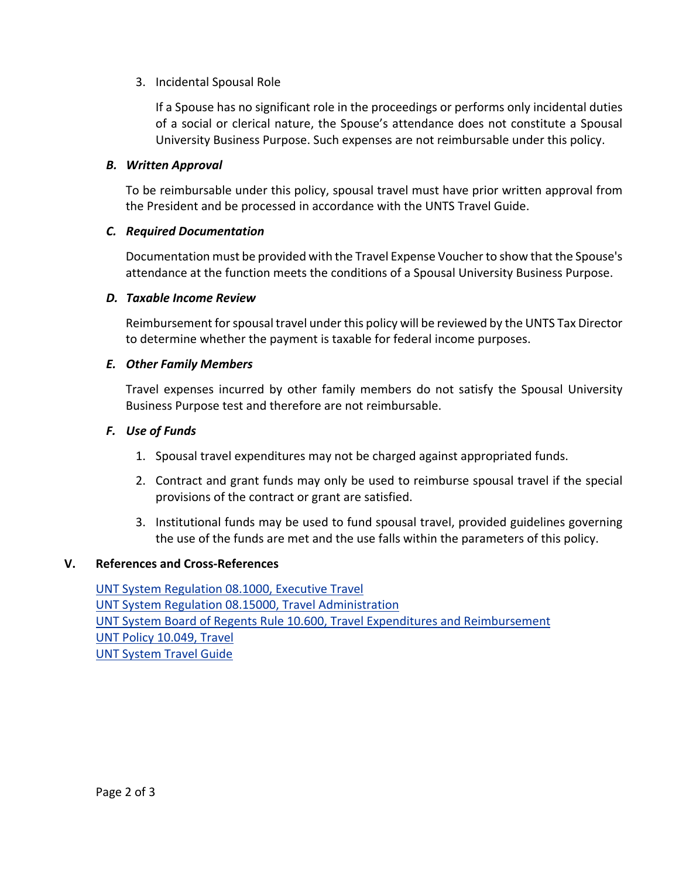# 3. Incidental Spousal Role

If a Spouse has no significant role in the proceedings or performs only incidental duties of a social or clerical nature, the Spouse's attendance does not constitute a Spousal University Business Purpose. Such expenses are not reimbursable under this policy.

# *B. Written Approval*

To be reimbursable under this policy, spousal travel must have prior written approval from the President and be processed in accordance with the UNTS Travel Guide.

# *C. Required Documentation*

Documentation must be provided with the Travel Expense Voucher to show that the Spouse's attendance at the function meets the conditions of a Spousal University Business Purpose.

## *D. Taxable Income Review*

Reimbursement for spousal travel under this policy will be reviewed by the UNTS Tax Director to determine whether the payment is taxable for federal income purposes.

# *E. Other Family Members*

Travel expenses incurred by other family members do not satisfy the Spousal University Business Purpose test and therefore are not reimbursable.

# *F. Use of Funds*

- 1. Spousal travel expenditures may not be charged against appropriated funds.
- 2. Contract and grant funds may only be used to reimburse spousal travel if the special provisions of the contract or grant are satisfied.
- 3. Institutional funds may be used to fund spousal travel, provided guidelines governing the use of the funds are met and the use falls within the parameters of this policy.

## **V. References and Cross-References**

[UNT System Regulation 08.1000, Executive Travel](https://www.untsystem.edu/about-us/policies/) UNT [System Regulation 08.15000, Travel Administration](https://www.untsystem.edu/about-us/policies/) UNT System Board of [Regents Rule 10.600, Travel Expenditures and Reimbursement](https://www.untsystem.edu/regents-rules) [UNT Policy 10.049, Travel](https://policy.unt.edu/policy/10-049) UNT System [Travel Guide](https://finance.untsystem.edu/travel/index.php)